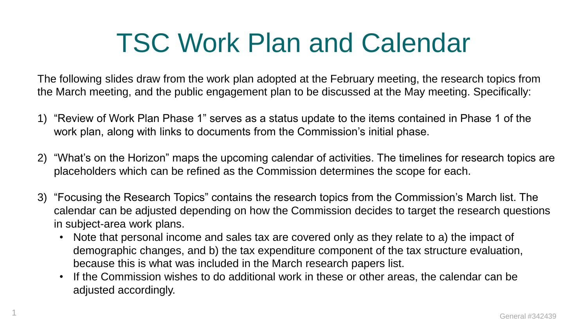# TSC Work Plan and Calendar

The following slides draw from the work plan adopted at the February meeting, the research topics from the March meeting, and the public engagement plan to be discussed at the May meeting. Specifically:

- 1) "Review of Work Plan Phase 1" serves as a status update to the items contained in Phase 1 of the work plan, along with links to documents from the Commission's initial phase.
- 2) "What's on the Horizon" maps the upcoming calendar of activities. The timelines for research topics are placeholders which can be refined as the Commission determines the scope for each.
- 3) "Focusing the Research Topics" contains the research topics from the Commission's March list. The calendar can be adjusted depending on how the Commission decides to target the research questions in subject-area work plans.
	- Note that personal income and sales tax are covered only as they relate to a) the impact of demographic changes, and b) the tax expenditure component of the tax structure evaluation, because this is what was included in the March research papers list.
	- If the Commission wishes to do additional work in these or other areas, the calendar can be adjusted accordingly.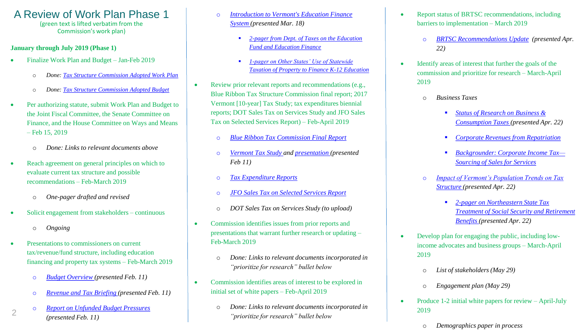### A Review of Work Plan Phase 1 (green text is lifted verbatim from the

Commission's work plan)

### **January through July 2019 (Phase 1)**

- Finalize Work Plan and Budget Jan-Feb 2019
	- o *Done: [Tax Structure Commission Adopted Work Plan](https://ljfo.vermont.gov/assets/Uploads/0a4632f02d/GENERAL-339096-v1-TSC_Adopted_Work_Plan.pdf)*
	- o *Done: [Tax Structure Commission Adopted Budget](https://ljfo.vermont.gov/assets/Uploads/fa40177504/General-336595-v1-tax_structure_commission_budget.pdf)*
- Per authorizing statute, submit Work Plan and Budget to the Joint Fiscal Committee, the Senate Committee on Finance, and the House Committee on Ways and Means – Feb 15, 2019
	- o *Done: Links to relevant documents above*
- Reach agreement on general principles on which to evaluate current tax structure and possible recommendations – Feb-March 2019
	- o *One-pager drafted and revised*
- Solicit engagement from stakeholders continuous
	- o *Ongoing*

2

- Presentations to commissioners on current tax/revenue/fund structure, including education financing and property tax systems – Feb-March 2019
	- o *[Budget Overview](https://ljfo.vermont.gov/assets/Uploads/f11ed02c9c/GENERAL-329145-v1-HAC_Welcome_to_the_Budget_Power_Point.pdf) (presented Feb. 11)*
	- o *[Revenue and Tax Briefing \(](https://ljfo.vermont.gov/assets/Uploads/4e10883063/Revenue-Tax-Presentation-for-TSC-v4.pdf)presented Feb. 11)*
	- o *[Report on Unfunded Budget Pressures](https://ljfo.vermont.gov/assets/Uploads/7dcc27a495/Report-on-Unfunded-Budget-Pressures-Fiscal-Year-2020-Memo-to-Appropriations-Chairs-v2.pdf) (presented Feb. 11)*
- o *[Introduction to Vermont's Education Finance](https://ljfo.vermont.gov/assets/Uploads/954aca7798/Introduction_to_Vermont_s_Education_Finance_System_-_January.pdf)  System (presented Mar. 18)*
	- 2-pager from Dept. of Taxes on the Education *Fund and Education Finance*
	- *1-pager on Other States' Use of Statewide [Taxation of Property to Finance K-12 Education](https://ljfo.vermont.gov/assets/Uploads/cf1cbc0db8/GENERAL-339740-v1-States-with-statewide-education-tax.pdf)*
- Review prior relevant reports and recommendations (e.g., Blue Ribbon Tax Structure Commission final report; 2017 Vermont [10-year] Tax Study; tax expenditures biennial reports; DOT Sales Tax on Services Study and JFO Sales Tax on Selected Services Report) – Feb-April 2019
	- o *[Blue Ribbon Tax Commission Final Report](https://ljfo.vermont.gov/assets/Subjects/Final-Report/f9d97528dc/2011-Blue-Ribbon-Tax-Structure-Commission-FINAL-REPORT.pdf)*
	- o *[Vermont Tax Study](https://ljfo.vermont.gov/assets/docs/reports/6ca6f1666c/2017-10-Year-Tax-Study-Full-Report-Compressed.pdf) and [presentation](https://ljfo.vermont.gov/assets/Uploads/d8088d8783/GENERAL-338380-v1-Overview_of_10-Year_Tax_Study.pdf) (presented Feb 11)*
	- o *[Tax Expenditure Reports](https://ljfo.vermont.gov/subjects/revenue-and-tax/tax-expenditure-reports)*
	- o *[JFO Sales Tax on Selected Services Report](https://ljfo.vermont.gov/assets/docs/reports/55a8c1d8ad/2016-Sales-Tax-on-Services-Kavet.pdf)*
	- o *DOT Sales Tax on Services Study (to upload)*
- Commission identifies issues from prior reports and presentations that warrant further research or updating – Feb-March 2019
	- o *Done: Links to relevant documents incorporated in "prioritize for research" bullet below*
- Commission identifies areas of interest to be explored in initial set of white papers – Feb-April 2019
	- o *Done: Links to relevant documents incorporated in "prioritize for research" bullet below*
- Report status of BRTSC recommendations, including barriers to implementation – March 2019
	- o *BRTSC Recommendations Update (presented Apr. 22)*
- Identify areas of interest that further the goals of the commission and prioritize for research – March-April 2019
	- o *Business Taxes*
		- *Status of Research on Business & Consumption Taxes (presented Apr. 22)*
		- *[Corporate Revenues from Repatriation](https://ljfo.vermont.gov/assets/Uploads/b36ecf3423/Repatriation-Commentary-0718-and-0119.pdf)*
		- *[Backgrounder: Corporate Income Tax—](https://ljfo.vermont.gov/assets/Uploads/6d3c502a40/GENERAL-341673-v1-TSC_Brief_Corp_tax-sales-factor-sourcing-FINAL.pdf) Sourcing of Sales for Services*
	- **Impact of Vermont's Population Trends on Tax** *Structure (presented Apr. 22)* 
		- *2-pager on Northeastern State Tax [Treatment of Social Security and Retirement](https://ljfo.vermont.gov/assets/Uploads/43b6cc5833/Tax-Treatment-of-Social-Security-Benefits.pdf)  Benefits (presented Apr. 22)*
- Develop plan for engaging the public, including lowincome advocates and business groups – March-April 2019
	- o *List of stakeholders (May 29)*
	- o *Engagement plan (May 29)*
- Produce 1-2 initial white papers for review April-July 2019
	- o *Demographics paper in process*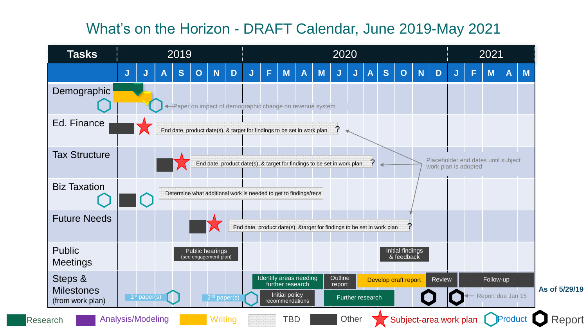## What's on the Horizon - DRAFT Calendar, June 2019-May 2021